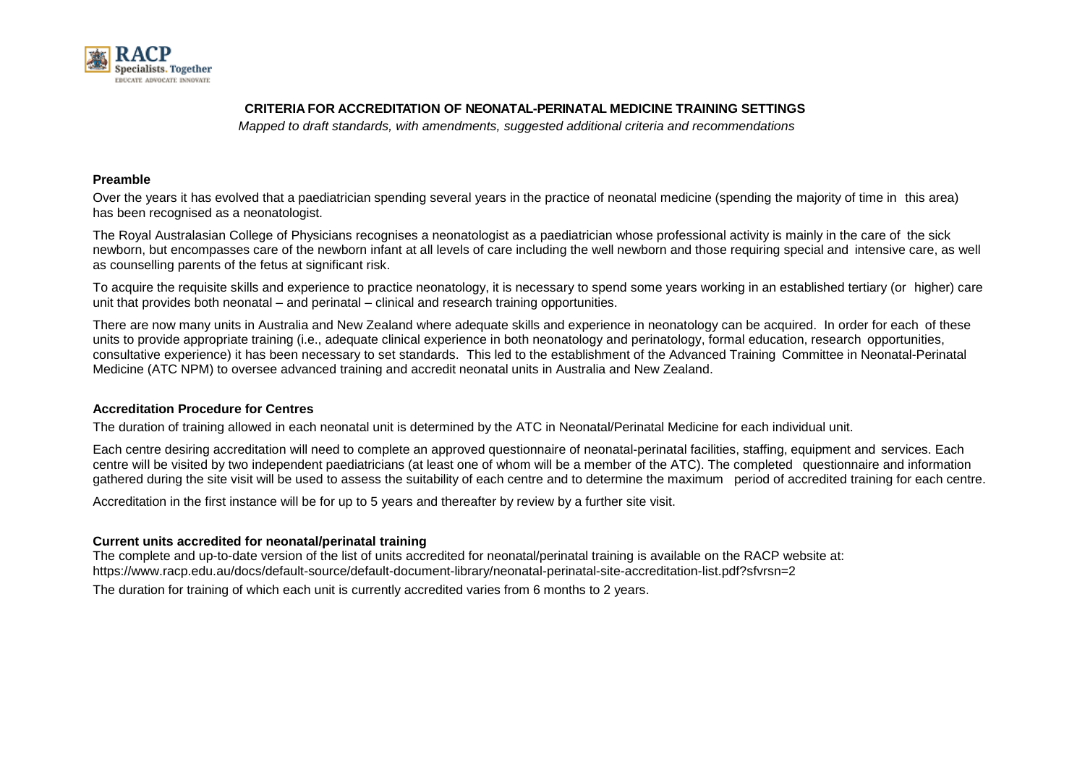

## **CRITERIA FOR ACCREDITATION OF NEONATAL-PERINATAL MEDICINE TRAINING SETTINGS**

*Mapped to draft standards, with amendments, suggested additional criteria and recommendations*

## **Preamble**

Over the years it has evolved that a paediatrician spending several years in the practice of neonatal medicine (spending the majority of time in this area) has been recognised as a neonatologist.

The Royal Australasian College of Physicians recognises a neonatologist as a paediatrician whose professional activity is mainly in the care of the sick newborn, but encompasses care of the newborn infant at all levels of care including the well newborn and those requiring special and intensive care, as well as counselling parents of the fetus at significant risk.

To acquire the requisite skills and experience to practice neonatology, it is necessary to spend some years working in an established tertiary (or higher) care unit that provides both neonatal – and perinatal – clinical and research training opportunities.

There are now many units in Australia and New Zealand where adequate skills and experience in neonatology can be acquired. In order for each of these units to provide appropriate training (i.e., adequate clinical experience in both neonatology and perinatology, formal education, research opportunities, consultative experience) it has been necessary to set standards. This led to the establishment of the Advanced Training Committee in Neonatal-Perinatal Medicine (ATC NPM) to oversee advanced training and accredit neonatal units in Australia and New Zealand.

## **Accreditation Procedure for Centres**

The duration of training allowed in each neonatal unit is determined by the ATC in Neonatal/Perinatal Medicine for each individual unit.

Each centre desiring accreditation will need to complete an approved questionnaire of neonatal-perinatal facilities, staffing, equipment and services. Each centre will be visited by two independent paediatricians (at least one of whom will be a member of the ATC). The completed questionnaire and information gathered during the site visit will be used to assess the suitability of each centre and to determine the maximum period of accredited training for each centre.

Accreditation in the first instance will be for up to 5 years and thereafter by review by a further site visit.

## **Current units accredited for neonatal/perinatal training**

The complete and up-to-date version of the list of units accredited for neonatal/perinatal training is available on the RACP website at: https://www.racp.edu.au/docs/default-source/default-document-library/neonatal-perinatal-site-accreditation-list.pdf?sfvrsn=2 The duration for training of which each unit is currently accredited varies from 6 months to 2 years.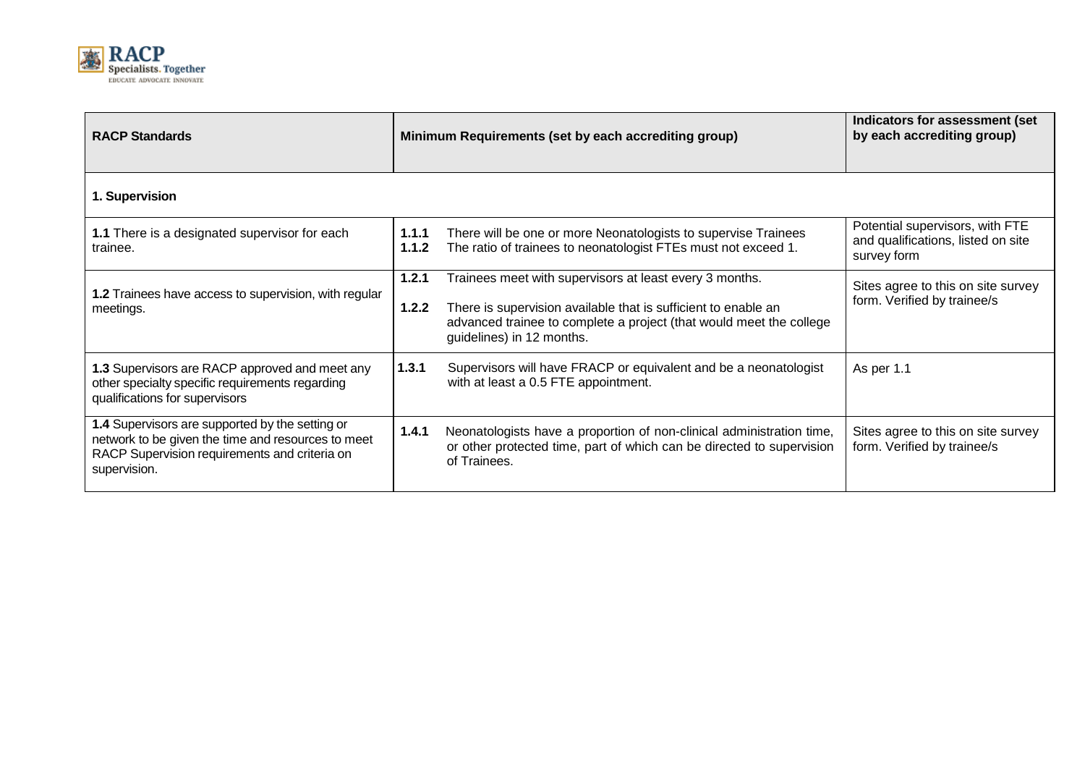

| <b>RACP Standards</b>                                                                                                                                                  | Minimum Requirements (set by each accrediting group)                                                                                                                                                                                            | Indicators for assessment (set<br>by each accrediting group)                         |
|------------------------------------------------------------------------------------------------------------------------------------------------------------------------|-------------------------------------------------------------------------------------------------------------------------------------------------------------------------------------------------------------------------------------------------|--------------------------------------------------------------------------------------|
| 1. Supervision                                                                                                                                                         |                                                                                                                                                                                                                                                 |                                                                                      |
| 1.1 There is a designated supervisor for each<br>trainee.                                                                                                              | There will be one or more Neonatologists to supervise Trainees<br>1.1.1<br>The ratio of trainees to neonatologist FTEs must not exceed 1.<br>1.1.2                                                                                              | Potential supervisors, with FTE<br>and qualifications, listed on site<br>survey form |
| 1.2 Trainees have access to supervision, with regular<br>meetings.                                                                                                     | Trainees meet with supervisors at least every 3 months.<br>1.2.1<br>There is supervision available that is sufficient to enable an<br>1.2.2<br>advanced trainee to complete a project (that would meet the college<br>guidelines) in 12 months. | Sites agree to this on site survey<br>form. Verified by trainee/s                    |
| 1.3 Supervisors are RACP approved and meet any<br>other specialty specific requirements regarding<br>qualifications for supervisors                                    | 1.3.1<br>Supervisors will have FRACP or equivalent and be a neonatologist<br>with at least a 0.5 FTE appointment.                                                                                                                               | As per 1.1                                                                           |
| 1.4 Supervisors are supported by the setting or<br>network to be given the time and resources to meet<br>RACP Supervision requirements and criteria on<br>supervision. | 1.4.1<br>Neonatologists have a proportion of non-clinical administration time,<br>or other protected time, part of which can be directed to supervision<br>of Trainees.                                                                         | Sites agree to this on site survey<br>form. Verified by trainee/s                    |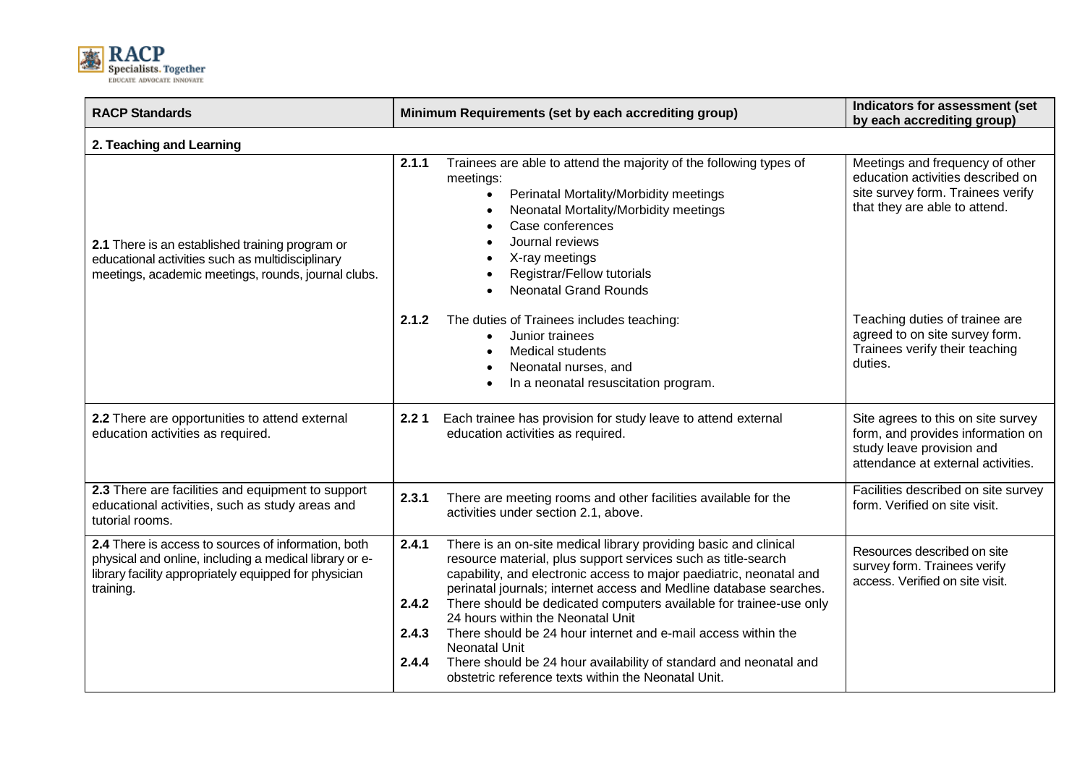

| <b>RACP Standards</b>                                                                                                                                                               | Minimum Requirements (set by each accrediting group)                                                                                                                                                                                                                                                                                                                                                                                                                                                                                                                                                                                               | <b>Indicators for assessment (set</b><br>by each accrediting group)                                                                        |  |
|-------------------------------------------------------------------------------------------------------------------------------------------------------------------------------------|----------------------------------------------------------------------------------------------------------------------------------------------------------------------------------------------------------------------------------------------------------------------------------------------------------------------------------------------------------------------------------------------------------------------------------------------------------------------------------------------------------------------------------------------------------------------------------------------------------------------------------------------------|--------------------------------------------------------------------------------------------------------------------------------------------|--|
| 2. Teaching and Learning                                                                                                                                                            |                                                                                                                                                                                                                                                                                                                                                                                                                                                                                                                                                                                                                                                    |                                                                                                                                            |  |
| 2.1 There is an established training program or<br>educational activities such as multidisciplinary<br>meetings, academic meetings, rounds, journal clubs.                          | 2.1.1<br>Trainees are able to attend the majority of the following types of<br>meetings:<br>Perinatal Mortality/Morbidity meetings<br>Neonatal Mortality/Morbidity meetings<br>Case conferences<br>Journal reviews<br>X-ray meetings<br>Registrar/Fellow tutorials<br><b>Neonatal Grand Rounds</b>                                                                                                                                                                                                                                                                                                                                                 | Meetings and frequency of other<br>education activities described on<br>site survey form. Trainees verify<br>that they are able to attend. |  |
|                                                                                                                                                                                     | The duties of Trainees includes teaching:<br>2.1.2<br>Junior trainees<br>Medical students<br>Neonatal nurses, and<br>In a neonatal resuscitation program.                                                                                                                                                                                                                                                                                                                                                                                                                                                                                          | Teaching duties of trainee are<br>agreed to on site survey form.<br>Trainees verify their teaching<br>duties.                              |  |
| 2.2 There are opportunities to attend external<br>education activities as required.                                                                                                 | Each trainee has provision for study leave to attend external<br>2.21<br>education activities as required.                                                                                                                                                                                                                                                                                                                                                                                                                                                                                                                                         | Site agrees to this on site survey<br>form, and provides information on<br>study leave provision and<br>attendance at external activities. |  |
| 2.3 There are facilities and equipment to support<br>educational activities, such as study areas and<br>tutorial rooms.                                                             | 2.3.1<br>There are meeting rooms and other facilities available for the<br>activities under section 2.1, above.                                                                                                                                                                                                                                                                                                                                                                                                                                                                                                                                    | Facilities described on site survey<br>form. Verified on site visit.                                                                       |  |
| 2.4 There is access to sources of information, both<br>physical and online, including a medical library or e-<br>library facility appropriately equipped for physician<br>training. | There is an on-site medical library providing basic and clinical<br>2.4.1<br>resource material, plus support services such as title-search<br>capability, and electronic access to major paediatric, neonatal and<br>perinatal journals; internet access and Medline database searches.<br>2.4.2<br>There should be dedicated computers available for trainee-use only<br>24 hours within the Neonatal Unit<br>There should be 24 hour internet and e-mail access within the<br>2.4.3<br><b>Neonatal Unit</b><br>There should be 24 hour availability of standard and neonatal and<br>2.4.4<br>obstetric reference texts within the Neonatal Unit. | Resources described on site<br>survey form. Trainees verify<br>access. Verified on site visit.                                             |  |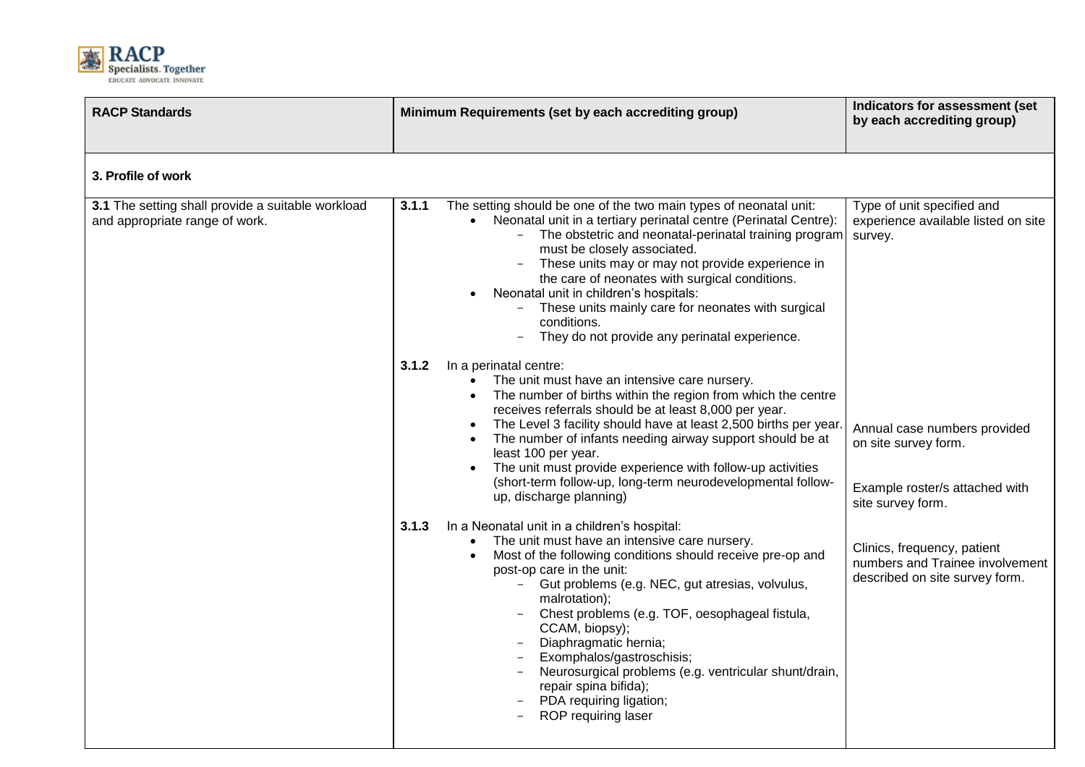

| <b>RACP Standards</b>                                                               | Minimum Requirements (set by each accrediting group) |                                                                                                                                                                                                                                                                                                                                                                                                                                                                                                                                                               | Indicators for assessment (set<br>by each accrediting group)                                                |
|-------------------------------------------------------------------------------------|------------------------------------------------------|---------------------------------------------------------------------------------------------------------------------------------------------------------------------------------------------------------------------------------------------------------------------------------------------------------------------------------------------------------------------------------------------------------------------------------------------------------------------------------------------------------------------------------------------------------------|-------------------------------------------------------------------------------------------------------------|
| 3. Profile of work                                                                  |                                                      |                                                                                                                                                                                                                                                                                                                                                                                                                                                                                                                                                               |                                                                                                             |
| 3.1 The setting shall provide a suitable workload<br>and appropriate range of work. | 3.1.1<br>$\bullet$                                   | The setting should be one of the two main types of neonatal unit:<br>Neonatal unit in a tertiary perinatal centre (Perinatal Centre):<br>The obstetric and neonatal-perinatal training program<br>must be closely associated.<br>These units may or may not provide experience in<br>$\overline{\phantom{m}}$<br>the care of neonates with surgical conditions.<br>Neonatal unit in children's hospitals:<br>These units mainly care for neonates with surgical<br>conditions.<br>They do not provide any perinatal experience.                               | Type of unit specified and<br>experience available listed on site<br>survey.                                |
|                                                                                     | 3.1.2                                                | In a perinatal centre:<br>The unit must have an intensive care nursery.<br>The number of births within the region from which the centre<br>receives referrals should be at least 8,000 per year.<br>The Level 3 facility should have at least 2,500 births per year.<br>The number of infants needing airway support should be at<br>least 100 per year.<br>The unit must provide experience with follow-up activities<br>(short-term follow-up, long-term neurodevelopmental follow-<br>up, discharge planning)                                              | Annual case numbers provided<br>on site survey form.<br>Example roster/s attached with<br>site survey form. |
|                                                                                     | 3.1.3                                                | In a Neonatal unit in a children's hospital:<br>The unit must have an intensive care nursery.<br>Most of the following conditions should receive pre-op and<br>post-op care in the unit:<br>Gut problems (e.g. NEC, gut atresias, volvulus,<br>$-$<br>malrotation);<br>Chest problems (e.g. TOF, oesophageal fistula,<br>$\overline{\phantom{a}}$<br>CCAM, biopsy);<br>Diaphragmatic hernia;<br>Exomphalos/gastroschisis;<br>Neurosurgical problems (e.g. ventricular shunt/drain,<br>repair spina bifida);<br>PDA requiring ligation;<br>ROP requiring laser | Clinics, frequency, patient<br>numbers and Trainee involvement<br>described on site survey form.            |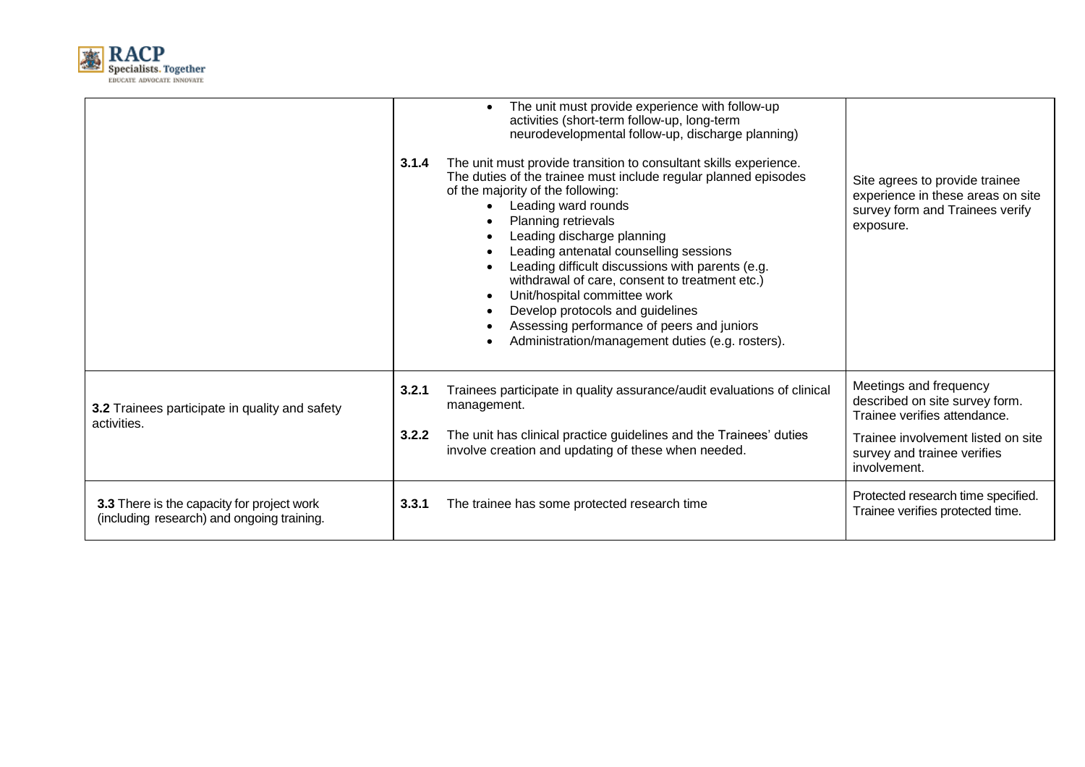

|                                                                                          | 3.1.4          | The unit must provide experience with follow-up<br>$\bullet$<br>activities (short-term follow-up, long-term<br>neurodevelopmental follow-up, discharge planning)<br>The unit must provide transition to consultant skills experience.<br>The duties of the trainee must include regular planned episodes<br>of the majority of the following:<br>Leading ward rounds<br>Planning retrievals<br>Leading discharge planning<br>Leading antenatal counselling sessions<br>Leading difficult discussions with parents (e.g.<br>withdrawal of care, consent to treatment etc.)<br>Unit/hospital committee work<br>Develop protocols and guidelines<br>Assessing performance of peers and juniors<br>Administration/management duties (e.g. rosters). | Site agrees to provide trainee<br>experience in these areas on site<br>survey form and Trainees verify<br>exposure.            |
|------------------------------------------------------------------------------------------|----------------|-------------------------------------------------------------------------------------------------------------------------------------------------------------------------------------------------------------------------------------------------------------------------------------------------------------------------------------------------------------------------------------------------------------------------------------------------------------------------------------------------------------------------------------------------------------------------------------------------------------------------------------------------------------------------------------------------------------------------------------------------|--------------------------------------------------------------------------------------------------------------------------------|
| 3.2 Trainees participate in quality and safety<br>activities.                            | 3.2.1<br>3.2.2 | Trainees participate in quality assurance/audit evaluations of clinical<br>management.<br>The unit has clinical practice guidelines and the Trainees' duties                                                                                                                                                                                                                                                                                                                                                                                                                                                                                                                                                                                    | Meetings and frequency<br>described on site survey form.<br>Trainee verifies attendance.<br>Trainee involvement listed on site |
|                                                                                          |                | involve creation and updating of these when needed.                                                                                                                                                                                                                                                                                                                                                                                                                                                                                                                                                                                                                                                                                             | survey and trainee verifies<br>involvement.                                                                                    |
| 3.3 There is the capacity for project work<br>(including research) and ongoing training. | 3.3.1          | The trainee has some protected research time                                                                                                                                                                                                                                                                                                                                                                                                                                                                                                                                                                                                                                                                                                    | Protected research time specified.<br>Trainee verifies protected time.                                                         |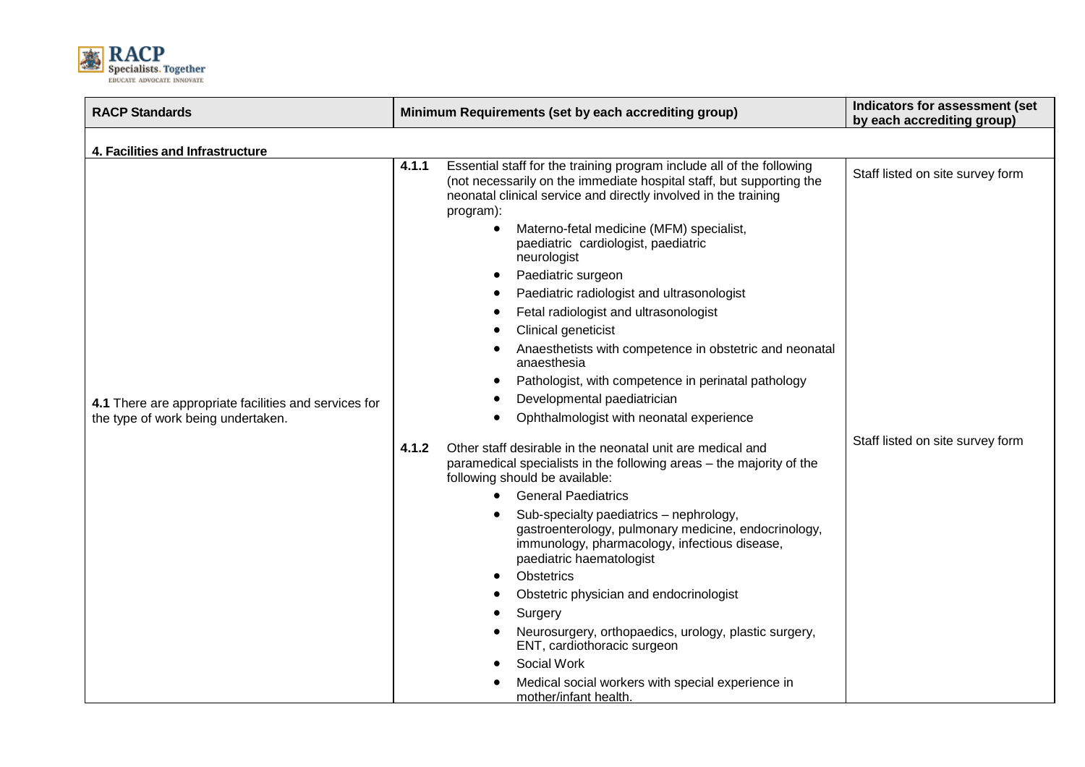

| <b>RACP Standards</b>                                 | Minimum Requirements (set by each accrediting group)                                                                                                                                                                                                                               | Indicators for assessment (set<br>by each accrediting group) |  |  |
|-------------------------------------------------------|------------------------------------------------------------------------------------------------------------------------------------------------------------------------------------------------------------------------------------------------------------------------------------|--------------------------------------------------------------|--|--|
| 4. Facilities and Infrastructure                      |                                                                                                                                                                                                                                                                                    |                                                              |  |  |
|                                                       | 4.1.1<br>Essential staff for the training program include all of the following<br>(not necessarily on the immediate hospital staff, but supporting the<br>neonatal clinical service and directly involved in the training<br>program):<br>Materno-fetal medicine (MFM) specialist, | Staff listed on site survey form                             |  |  |
|                                                       | paediatric cardiologist, paediatric<br>neurologist                                                                                                                                                                                                                                 |                                                              |  |  |
|                                                       | Paediatric surgeon                                                                                                                                                                                                                                                                 |                                                              |  |  |
|                                                       | Paediatric radiologist and ultrasonologist                                                                                                                                                                                                                                         |                                                              |  |  |
|                                                       | Fetal radiologist and ultrasonologist                                                                                                                                                                                                                                              |                                                              |  |  |
|                                                       | Clinical geneticist                                                                                                                                                                                                                                                                |                                                              |  |  |
|                                                       | Anaesthetists with competence in obstetric and neonatal<br>anaesthesia                                                                                                                                                                                                             |                                                              |  |  |
|                                                       | Pathologist, with competence in perinatal pathology                                                                                                                                                                                                                                |                                                              |  |  |
| 4.1 There are appropriate facilities and services for | Developmental paediatrician                                                                                                                                                                                                                                                        |                                                              |  |  |
| the type of work being undertaken.                    | Ophthalmologist with neonatal experience                                                                                                                                                                                                                                           |                                                              |  |  |
|                                                       | 4.1.2<br>Other staff desirable in the neonatal unit are medical and<br>paramedical specialists in the following areas - the majority of the<br>following should be available:                                                                                                      | Staff listed on site survey form                             |  |  |
|                                                       | <b>General Paediatrics</b>                                                                                                                                                                                                                                                         |                                                              |  |  |
|                                                       | Sub-specialty paediatrics - nephrology,<br>gastroenterology, pulmonary medicine, endocrinology,<br>immunology, pharmacology, infectious disease,<br>paediatric haematologist                                                                                                       |                                                              |  |  |
|                                                       | <b>Obstetrics</b>                                                                                                                                                                                                                                                                  |                                                              |  |  |
|                                                       | Obstetric physician and endocrinologist                                                                                                                                                                                                                                            |                                                              |  |  |
|                                                       | Surgery                                                                                                                                                                                                                                                                            |                                                              |  |  |
|                                                       | Neurosurgery, orthopaedics, urology, plastic surgery,<br>ENT, cardiothoracic surgeon                                                                                                                                                                                               |                                                              |  |  |
|                                                       | Social Work                                                                                                                                                                                                                                                                        |                                                              |  |  |
|                                                       | Medical social workers with special experience in<br>mother/infant health.                                                                                                                                                                                                         |                                                              |  |  |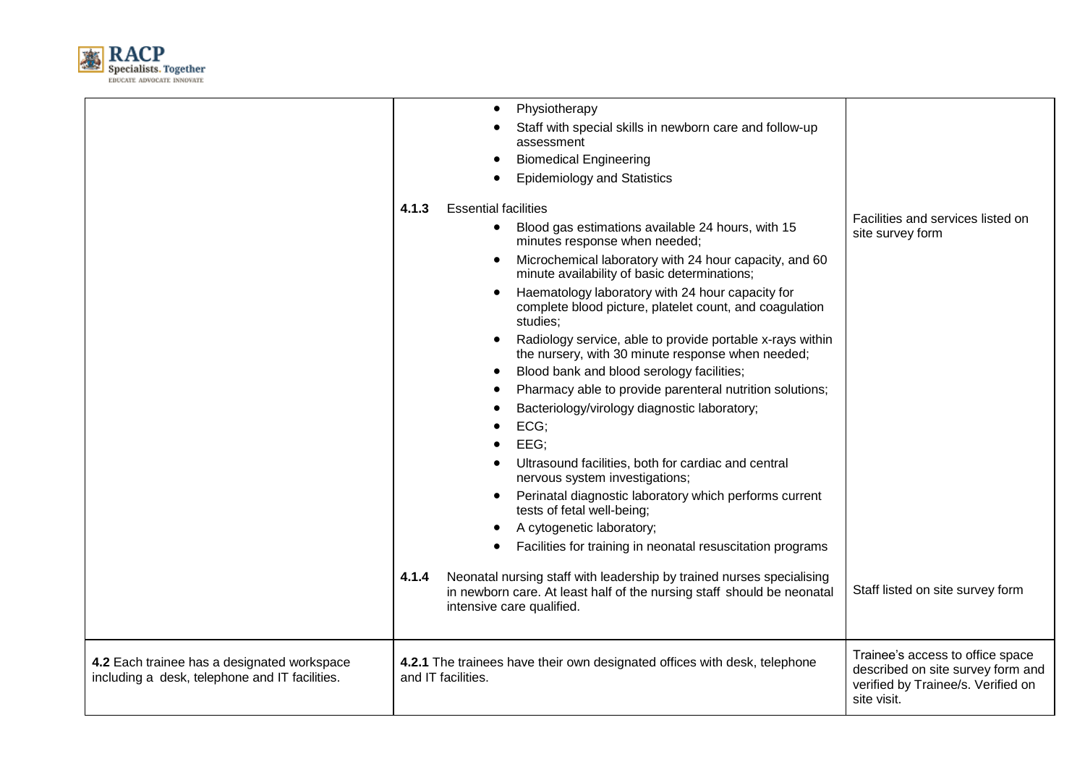

|                                                                                               | Physiotherapy<br>Staff with special skills in newborn care and follow-up<br>assessment<br><b>Biomedical Engineering</b><br><b>Epidemiology and Statistics</b>                                                                                                                                                                                                                                                                                                                                                                                                                                                                                                                                                                                                                                                                                                                                                                                                                                                                                                                                                                                |                                                                                                                            |
|-----------------------------------------------------------------------------------------------|----------------------------------------------------------------------------------------------------------------------------------------------------------------------------------------------------------------------------------------------------------------------------------------------------------------------------------------------------------------------------------------------------------------------------------------------------------------------------------------------------------------------------------------------------------------------------------------------------------------------------------------------------------------------------------------------------------------------------------------------------------------------------------------------------------------------------------------------------------------------------------------------------------------------------------------------------------------------------------------------------------------------------------------------------------------------------------------------------------------------------------------------|----------------------------------------------------------------------------------------------------------------------------|
|                                                                                               | <b>Essential facilities</b><br>4.1.3<br>Blood gas estimations available 24 hours, with 15<br>minutes response when needed;<br>Microchemical laboratory with 24 hour capacity, and 60<br>minute availability of basic determinations;<br>Haematology laboratory with 24 hour capacity for<br>complete blood picture, platelet count, and coagulation<br>studies;<br>Radiology service, able to provide portable x-rays within<br>$\bullet$<br>the nursery, with 30 minute response when needed;<br>Blood bank and blood serology facilities;<br>Pharmacy able to provide parenteral nutrition solutions;<br>Bacteriology/virology diagnostic laboratory;<br>ECG;<br>EEG;<br>Ultrasound facilities, both for cardiac and central<br>nervous system investigations;<br>Perinatal diagnostic laboratory which performs current<br>tests of fetal well-being;<br>A cytogenetic laboratory;<br>Facilities for training in neonatal resuscitation programs<br>4.1.4<br>Neonatal nursing staff with leadership by trained nurses specialising<br>in newborn care. At least half of the nursing staff should be neonatal<br>intensive care qualified. | Facilities and services listed on<br>site survey form<br>Staff listed on site survey form                                  |
| 4.2 Each trainee has a designated workspace<br>including a desk, telephone and IT facilities. | 4.2.1 The trainees have their own designated offices with desk, telephone<br>and IT facilities.                                                                                                                                                                                                                                                                                                                                                                                                                                                                                                                                                                                                                                                                                                                                                                                                                                                                                                                                                                                                                                              | Trainee's access to office space<br>described on site survey form and<br>verified by Trainee/s. Verified on<br>site visit. |